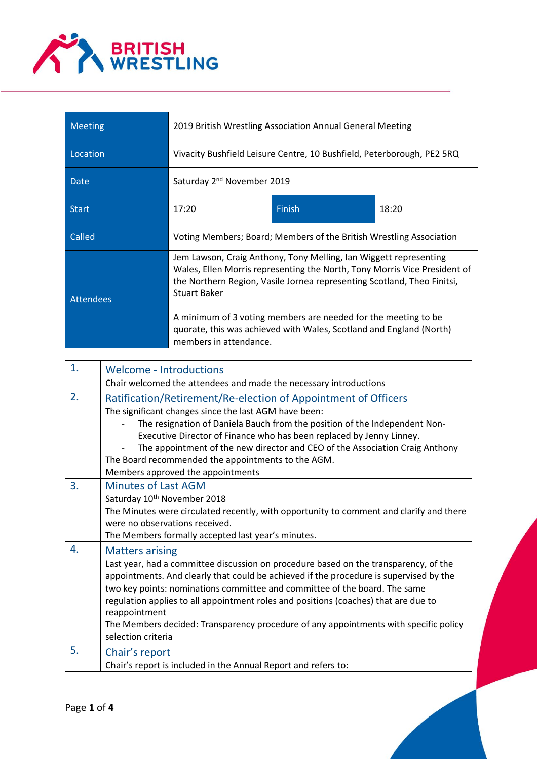

| <b>Meeting</b>   | 2019 British Wrestling Association Annual General Meeting              |                                                                                                                                                                                                                                                                                                                                                                    |       |
|------------------|------------------------------------------------------------------------|--------------------------------------------------------------------------------------------------------------------------------------------------------------------------------------------------------------------------------------------------------------------------------------------------------------------------------------------------------------------|-------|
| Location         | Vivacity Bushfield Leisure Centre, 10 Bushfield, Peterborough, PE2 5RQ |                                                                                                                                                                                                                                                                                                                                                                    |       |
| <b>Date</b>      | Saturday 2 <sup>nd</sup> November 2019                                 |                                                                                                                                                                                                                                                                                                                                                                    |       |
| <b>Start</b>     | 17:20                                                                  | <b>Finish</b>                                                                                                                                                                                                                                                                                                                                                      | 18:20 |
| Called           |                                                                        | Voting Members; Board; Members of the British Wrestling Association                                                                                                                                                                                                                                                                                                |       |
| <b>Attendees</b> | <b>Stuart Baker</b><br>members in attendance.                          | Jem Lawson, Craig Anthony, Tony Melling, Ian Wiggett representing<br>Wales, Ellen Morris representing the North, Tony Morris Vice President of<br>the Northern Region, Vasile Jornea representing Scotland, Theo Finitsi,<br>A minimum of 3 voting members are needed for the meeting to be<br>quorate, this was achieved with Wales, Scotland and England (North) |       |

| 1. | <b>Welcome - Introductions</b>                                                                                                                                                                                                                                                                                                                                                                                                                                                                               |
|----|--------------------------------------------------------------------------------------------------------------------------------------------------------------------------------------------------------------------------------------------------------------------------------------------------------------------------------------------------------------------------------------------------------------------------------------------------------------------------------------------------------------|
|    | Chair welcomed the attendees and made the necessary introductions                                                                                                                                                                                                                                                                                                                                                                                                                                            |
| 2. | Ratification/Retirement/Re-election of Appointment of Officers<br>The significant changes since the last AGM have been:<br>The resignation of Daniela Bauch from the position of the Independent Non-<br>Executive Director of Finance who has been replaced by Jenny Linney.<br>The appointment of the new director and CEO of the Association Craig Anthony<br>The Board recommended the appointments to the AGM.<br>Members approved the appointments                                                     |
| 3. | <b>Minutes of Last AGM</b><br>Saturday 10th November 2018<br>The Minutes were circulated recently, with opportunity to comment and clarify and there<br>were no observations received.<br>The Members formally accepted last year's minutes.                                                                                                                                                                                                                                                                 |
| 4. | <b>Matters arising</b><br>Last year, had a committee discussion on procedure based on the transparency, of the<br>appointments. And clearly that could be achieved if the procedure is supervised by the<br>two key points: nominations committee and committee of the board. The same<br>regulation applies to all appointment roles and positions (coaches) that are due to<br>reappointment<br>The Members decided: Transparency procedure of any appointments with specific policy<br>selection criteria |
| 5. | Chair's report<br>Chair's report is included in the Annual Report and refers to:                                                                                                                                                                                                                                                                                                                                                                                                                             |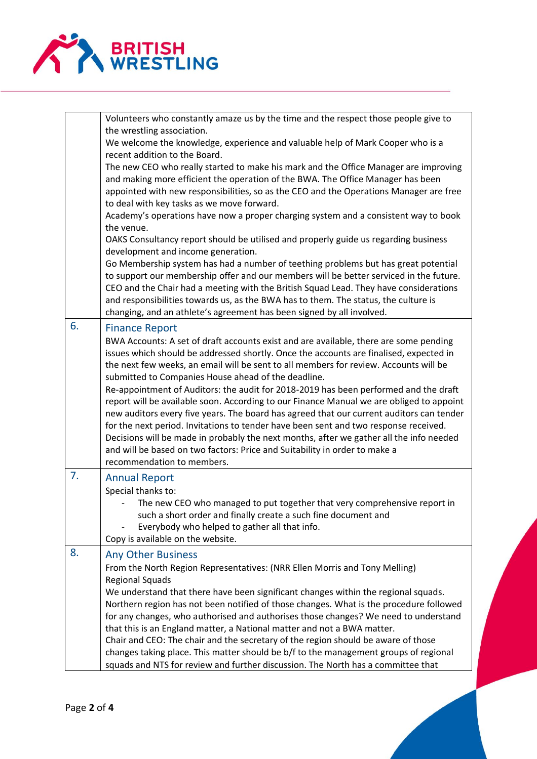

|    | Volunteers who constantly amaze us by the time and the respect those people give to                                                                                                  |
|----|--------------------------------------------------------------------------------------------------------------------------------------------------------------------------------------|
|    | the wrestling association.<br>We welcome the knowledge, experience and valuable help of Mark Cooper who is a                                                                         |
|    | recent addition to the Board.                                                                                                                                                        |
|    | The new CEO who really started to make his mark and the Office Manager are improving                                                                                                 |
|    | and making more efficient the operation of the BWA. The Office Manager has been                                                                                                      |
|    | appointed with new responsibilities, so as the CEO and the Operations Manager are free                                                                                               |
|    | to deal with key tasks as we move forward.<br>Academy's operations have now a proper charging system and a consistent way to book                                                    |
|    | the venue.                                                                                                                                                                           |
|    | OAKS Consultancy report should be utilised and properly guide us regarding business                                                                                                  |
|    | development and income generation.                                                                                                                                                   |
|    | Go Membership system has had a number of teething problems but has great potential                                                                                                   |
|    | to support our membership offer and our members will be better serviced in the future.                                                                                               |
|    | CEO and the Chair had a meeting with the British Squad Lead. They have considerations<br>and responsibilities towards us, as the BWA has to them. The status, the culture is         |
|    | changing, and an athlete's agreement has been signed by all involved.                                                                                                                |
| 6. | <b>Finance Report</b>                                                                                                                                                                |
|    | BWA Accounts: A set of draft accounts exist and are available, there are some pending                                                                                                |
|    | issues which should be addressed shortly. Once the accounts are finalised, expected in                                                                                               |
|    | the next few weeks, an email will be sent to all members for review. Accounts will be                                                                                                |
|    | submitted to Companies House ahead of the deadline.                                                                                                                                  |
|    | Re-appointment of Auditors: the audit for 2018-2019 has been performed and the draft                                                                                                 |
|    | report will be available soon. According to our Finance Manual we are obliged to appoint<br>new auditors every five years. The board has agreed that our current auditors can tender |
|    | for the next period. Invitations to tender have been sent and two response received.                                                                                                 |
|    | Decisions will be made in probably the next months, after we gather all the info needed                                                                                              |
|    | and will be based on two factors: Price and Suitability in order to make a                                                                                                           |
|    | recommendation to members.                                                                                                                                                           |
| 7. | <b>Annual Report</b>                                                                                                                                                                 |
|    | Special thanks to:                                                                                                                                                                   |
|    | The new CEO who managed to put together that very comprehensive report in                                                                                                            |
|    | such a short order and finally create a such fine document and<br>Everybody who helped to gather all that info.                                                                      |
|    | Copy is available on the website.                                                                                                                                                    |
| 8. | <b>Any Other Business</b>                                                                                                                                                            |
|    | From the North Region Representatives: (NRR Ellen Morris and Tony Melling)                                                                                                           |
|    | <b>Regional Squads</b>                                                                                                                                                               |
|    | We understand that there have been significant changes within the regional squads.                                                                                                   |
|    | Northern region has not been notified of those changes. What is the procedure followed                                                                                               |
|    | for any changes, who authorised and authorises those changes? We need to understand<br>that this is an England matter, a National matter and not a BWA matter.                       |
|    | Chair and CEO: The chair and the secretary of the region should be aware of those                                                                                                    |
|    | changes taking place. This matter should be b/f to the management groups of regional                                                                                                 |
|    | squads and NTS for review and further discussion. The North has a committee that                                                                                                     |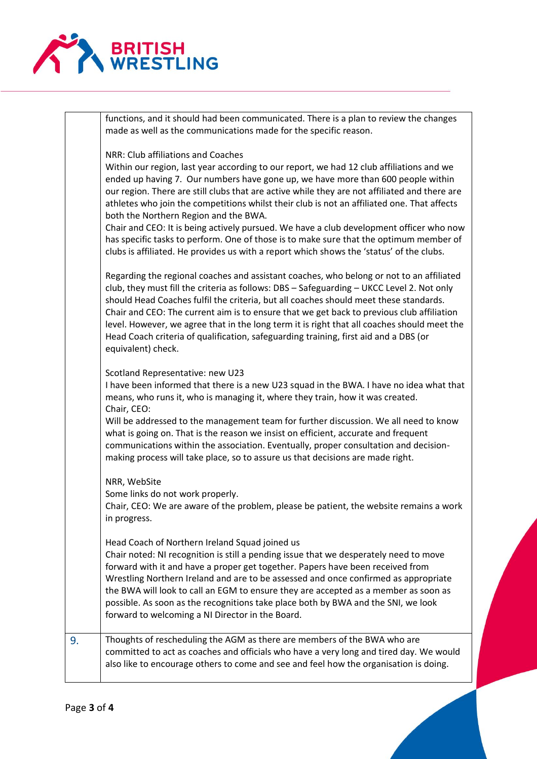

|    | functions, and it should had been communicated. There is a plan to review the changes<br>made as well as the communications made for the specific reason.                                                                                                                                                                                                                                                                                                                                                                                                                                                                                                                                                                                    |
|----|----------------------------------------------------------------------------------------------------------------------------------------------------------------------------------------------------------------------------------------------------------------------------------------------------------------------------------------------------------------------------------------------------------------------------------------------------------------------------------------------------------------------------------------------------------------------------------------------------------------------------------------------------------------------------------------------------------------------------------------------|
|    | NRR: Club affiliations and Coaches<br>Within our region, last year according to our report, we had 12 club affiliations and we<br>ended up having 7. Our numbers have gone up, we have more than 600 people within<br>our region. There are still clubs that are active while they are not affiliated and there are<br>athletes who join the competitions whilst their club is not an affiliated one. That affects<br>both the Northern Region and the BWA.<br>Chair and CEO: It is being actively pursued. We have a club development officer who now<br>has specific tasks to perform. One of those is to make sure that the optimum member of<br>clubs is affiliated. He provides us with a report which shows the 'status' of the clubs. |
|    | Regarding the regional coaches and assistant coaches, who belong or not to an affiliated<br>club, they must fill the criteria as follows: DBS - Safeguarding - UKCC Level 2. Not only<br>should Head Coaches fulfil the criteria, but all coaches should meet these standards.<br>Chair and CEO: The current aim is to ensure that we get back to previous club affiliation<br>level. However, we agree that in the long term it is right that all coaches should meet the<br>Head Coach criteria of qualification, safeguarding training, first aid and a DBS (or<br>equivalent) check.                                                                                                                                                     |
|    | Scotland Representative: new U23<br>I have been informed that there is a new U23 squad in the BWA. I have no idea what that<br>means, who runs it, who is managing it, where they train, how it was created.<br>Chair, CEO:<br>Will be addressed to the management team for further discussion. We all need to know<br>what is going on. That is the reason we insist on efficient, accurate and frequent<br>communications within the association. Eventually, proper consultation and decision-<br>making process will take place, so to assure us that decisions are made right.                                                                                                                                                          |
|    | NRR, WebSite<br>Some links do not work properly.<br>Chair, CEO: We are aware of the problem, please be patient, the website remains a work<br>in progress.                                                                                                                                                                                                                                                                                                                                                                                                                                                                                                                                                                                   |
|    | Head Coach of Northern Ireland Squad joined us<br>Chair noted: NI recognition is still a pending issue that we desperately need to move<br>forward with it and have a proper get together. Papers have been received from<br>Wrestling Northern Ireland and are to be assessed and once confirmed as appropriate<br>the BWA will look to call an EGM to ensure they are accepted as a member as soon as<br>possible. As soon as the recognitions take place both by BWA and the SNI, we look<br>forward to welcoming a NI Director in the Board.                                                                                                                                                                                             |
| 9. | Thoughts of rescheduling the AGM as there are members of the BWA who are<br>committed to act as coaches and officials who have a very long and tired day. We would<br>also like to encourage others to come and see and feel how the organisation is doing.                                                                                                                                                                                                                                                                                                                                                                                                                                                                                  |